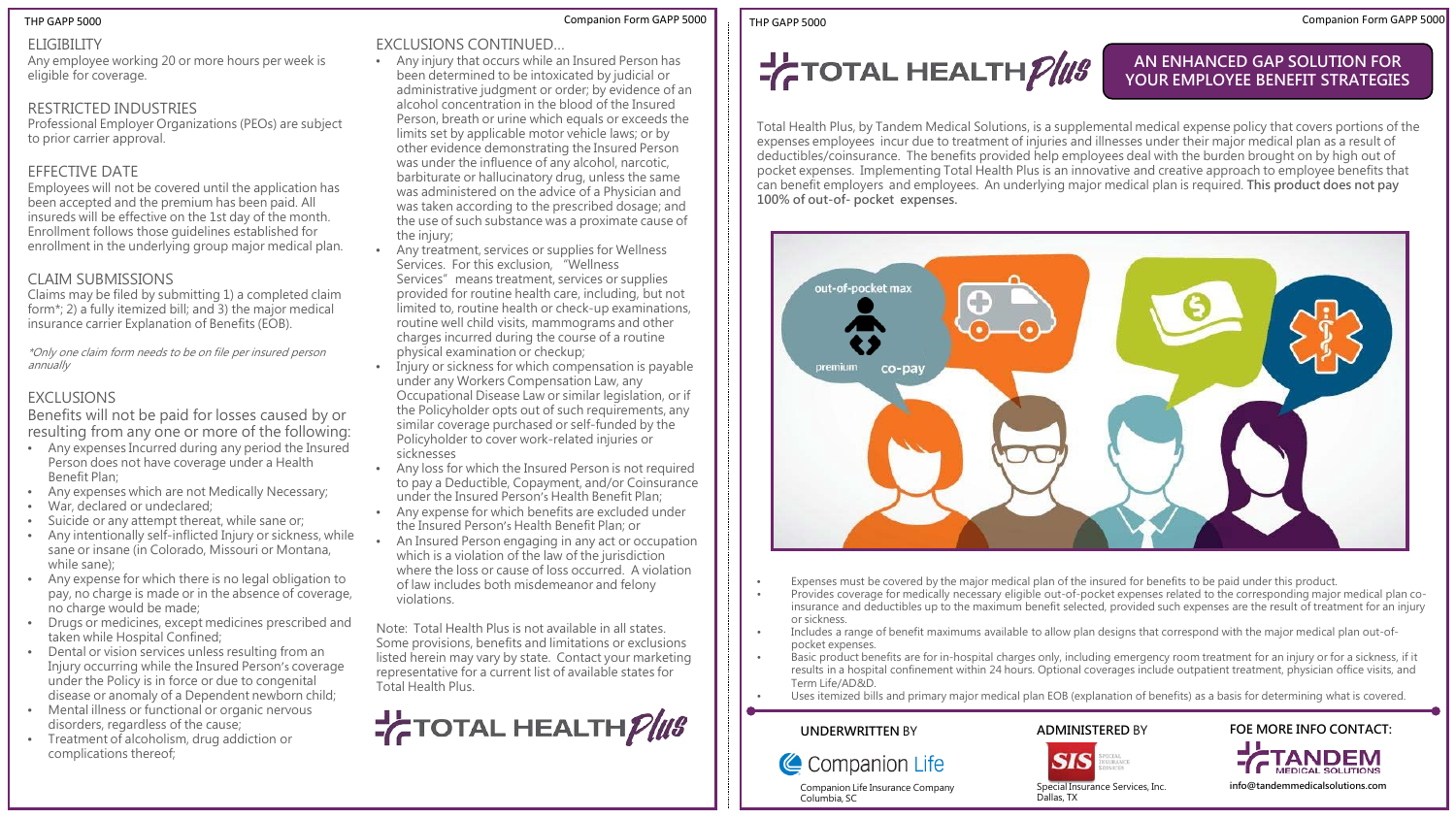#### ELIGIBILITY

Any employee working 20 or more hours per week is eligible for coverage.

### RESTRICTED INDUSTRIES

Professional Employer Organizations (PEOs) are subject to prior carrier approval.

### EFFECTIVE DATE

Employees will not be covered until the application has been accepted and the premium has been paid. All insureds will be effective on the 1st day of the month. Enrollment follows those guidelines established for enrollment in the underlying group major medical plan.

### CLAIM SUBMISSIONS

Claims may be filed by submitting 1) a completed claim form\*; 2) a fully itemized bill; and 3) the major medical insurance carrier Explanation of Benefits (EOB).

\*Only one claim form needs to be on file per insured person annually

### EXCLUSIONS

Benefits will not be paid for losses caused by or resulting from any one or more of the following:

- Any expenses Incurred during any period the Insured Person does not have coverage under a Health Benefit Plan;
- Any expenses which are not Medically Necessary;
- War, declared or undeclared;
- Suicide or any attempt thereat, while sane or;
- Any intentionally self-inflicted Injury or sickness, while sane or insane (in Colorado, Missouri or Montana, while sane);
- Any expense for which there is no legal obligation to pay, no charge is made or in the absence of coverage, no charge would be made;
- Drugs or medicines, except medicines prescribed and taken while Hospital Confined;
- Dental or vision services unless resulting from an Injury occurring while the Insured Person's coverage under the Policy is in force or due to congenital disease or anomaly of a Dependent newborn child;
- Mental illness or functional or organic nervous disorders, regardless of the cause;
- Treatment of alcoholism, drug addiction or complications thereof;

#### Companion Form GAPP 5000 Companion Form GAPP 5000 THP GAPP 5000 THP GAPP 5000

#### EXCLUSIONS CONTINUED…

- Any injury that occurs while an Insured Person has been determined to be intoxicated by judicial or administrative judgment or order; by evidence of an alcohol concentration in the blood of the Insured Person, breath or urine which equals or exceeds the limits set by applicable motor vehicle laws; or by other evidence demonstrating the Insured Person was under the influence of any alcohol, narcotic, barbiturate or hallucinatory drug, unless the same was administered on the advice of a Physician and was taken according to the prescribed dosage; and the use of such substance was a proximate cause of the injury;
- Any treatment, services or supplies for Wellness Services. For this exclusion, "Wellness Services" means treatment, services or supplies provided for routine health care, including, but not limited to, routine health or check-up examinations, routine well child visits, mammograms and other charges incurred during the course of a routine physical examination or checkup;
- Injury or sickness for which compensation is payable under any Workers Compensation Law, any Occupational Disease Law or similar legislation, or if the Policyholder opts out of such requirements, any similar coverage purchased or self-funded by the Policyholder to cover work-related injuries or sicknesses
- Any loss for which the Insured Person is not required to pay a Deductible, Copayment, and/or Coinsurance under the Insured Person's Health Benefit Plan;
- Any expense for which benefits are excluded under the Insured Person's Health Benefit Plan; or
- An Insured Person engaging in any act or occupation which is a violation of the law of the jurisdiction where the loss or cause of loss occurred. A violation of law includes both misdemeanor and felony violations.

Note: Total Health Plus is not available in all states. Some provisions, benefits and limitations or exclusions listed herein may vary by state. Contact your marketing representative for a current list of available states for Total Health Plus.

**F**TOTAL HEALTHPIUS

 $\frac{1}{C}$ TOTAL HEALTH $\frac{\rho}{us}$ 

### **AN ENHANCED GAP SOLUTION FOR YOUR EMPLOYEE BENEFIT STRATEGIES**

Total Health Plus, by Tandem Medical Solutions, is a supplemental medical expense policy that covers portions of the expenses employees incur due to treatment of injuries and illnesses under their major medical plan as a result of deductibles/coinsurance. The benefits provided help employees deal with the burden brought on by high out of pocket expenses. Implementing Total Health Plus is an innovative and creative approach to employee benefits that can benefit employers and employees. An underlying major medical plan is required. **This product does not pay 100% of out-of- pocket expenses.** 



- Expenses must be covered by the major medical plan of the insured for benefits to be paid under this product.
- Provides coverage for medically necessary eligible out-of-pocket expenses related to the corresponding major medical plan coinsurance and deductibles up to the maximum benefit selected, provided such expenses are the result of treatment for an injury or sickness.
- Includes a range of benefit maximums available to allow plan designs that correspond with the major medical plan out-ofpocket expenses.
- Basic product benefits are for in-hospital charges only, including emergency room treatment for an injury or for a sickness, if it results in a hospital confinement within 24 hours. Optional coverages include outpatient treatment, physician office visits, and Term Life/AD&D.
- Uses itemized bills and primary major medical plan EOB (explanation of benefits) as a basis for determining what is covered.

#### **UNDERWRITTEN** BY

Columbia, SC

Companion Life Insurance Company

#### **ADMINISTERED** BY





**FOE MORE INFO CONTACT:**

**TANDEM** 

Special Insurance Services, Inc.

**info@tandemmedicalsolutions.com**

Dallas, TX